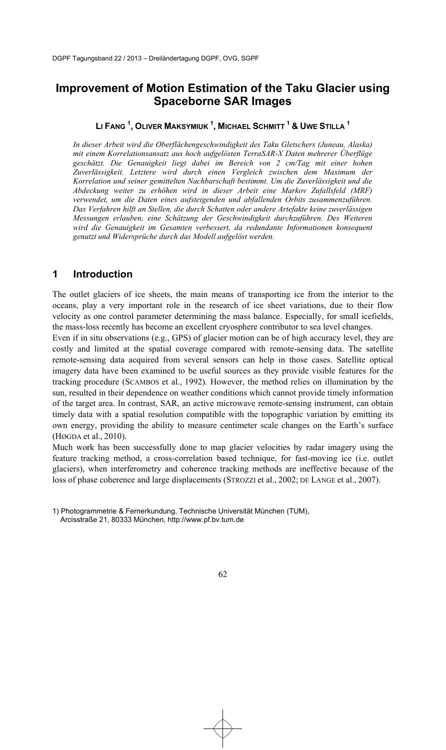# **Improvement of Motion Estimation of the Taku Glacier using Spaceborne SAR Images**

### **LI FANG <sup>1</sup> , OLIVER MAKSYMIUK <sup>1</sup> , MICHAEL SCHMITT <sup>1</sup> & UWE STILLA <sup>1</sup>**

*In dieser Arbeit wird die Oberflächengeschwindigkeit des Taku Gletschers (Juneau, Alaska) mit einem Korrelationsansatz aus hoch aufgelösten TerraSAR-X Daten mehrerer Überflüge geschätzt. Die Genauigkeit liegt dabei im Bereich von 2 cm/Tag mit einer hohen Zuverlässigkeit. Letztere wird durch einen Vergleich zwischen dem Maximum der Korrelation und seiner gemittelten Nachbarschaft bestimmt. Um die Zuverlässigkeit und die Abdeckung weiter zu erhöhen wird in dieser Arbeit eine Markov Zufallsfeld (MRF) verwendet, um die Daten eines aufsteigenden und abfallenden Orbits zusammenzuführen. Das Verfahren hilft an Stellen, die durch Schatten oder andere Artefakte keine zuverlässigen Messungen erlauben, eine Schätzung der Geschwindigkeit durchzuführen. Des Weiteren wird die Genauigkeit im Gesamten verbessert, da redundante Informationen konsequent genutzt und Widersprüche durch das Modell aufgelöst werden.* 

### **1 Introduction**

The outlet glaciers of ice sheets, the main means of transporting ice from the interior to the oceans, play a very important role in the research of ice sheet variations, due to their flow velocity as one control parameter determining the mass balance. Especially, for small icefields, the mass-loss recently has become an excellent cryosphere contributor to sea level changes.

Even if in situ observations (e.g., GPS) of glacier motion can be of high accuracy level, they are costly and limited at the spatial coverage compared with remote-sensing data. The satellite remote-sensing data acquired from several sensors can help in those cases. Satellite optical imagery data have been examined to be useful sources as they provide visible features for the tracking procedure (SCAMBOS et al., 1992). However, the method relies on illumination by the sun, resulted in their dependence on weather conditions which cannot provide timely information of the target area. In contrast, SAR, an active microwave remote-sensing instrument, can obtain timely data with a spatial resolution compatible with the topographic variation by emitting its own energy, providing the ability to measure centimeter scale changes on the Earth's surface  $(H\omega)$ GDA et al. 2010).

Much work has been successfully done to map glacier velocities by radar imagery using the feature tracking method, a cross-correlation based technique, for fast-moving ice (i.e. outlet glaciers), when interferometry and coherence tracking methods are ineffective because of the loss of phase coherence and large displacements (STROZZI et al., 2002; DE LANGE et al., 2007).

<sup>1)</sup> Photogrammetrie & Fernerkundung, Technische Universität München (TUM), Arcisstraße 21, 80333 München, http://www.pf.bv.tum.de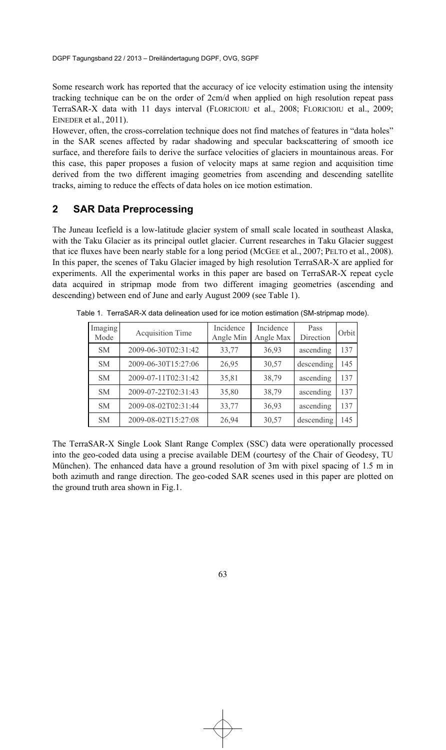Some research work has reported that the accuracy of ice velocity estimation using the intensity tracking technique can be on the order of 2cm/d when applied on high resolution repeat pass TerraSAR-X data with 11 days interval (FLORICIOIU et al., 2008; FLORICIOIU et al., 2009; EINEDER et al., 2011).

However, often, the cross-correlation technique does not find matches of features in "data holes" in the SAR scenes affected by radar shadowing and specular backscattering of smooth ice surface, and therefore fails to derive the surface velocities of glaciers in mountainous areas. For this case, this paper proposes a fusion of velocity maps at same region and acquisition time derived from the two different imaging geometries from ascending and descending satellite tracks, aiming to reduce the effects of data holes on ice motion estimation.

### **2 SAR Data Preprocessing**

The Juneau Icefield is a low-latitude glacier system of small scale located in southeast Alaska, with the Taku Glacier as its principal outlet glacier. Current researches in Taku Glacier suggest that ice fluxes have been nearly stable for a long period (MCGEE et al., 2007; PELTO et al., 2008). In this paper, the scenes of Taku Glacier imaged by high resolution TerraSAR-X are applied for experiments. All the experimental works in this paper are based on TerraSAR-X repeat cycle data acquired in stripmap mode from two different imaging geometries (ascending and descending) between end of June and early August 2009 (see Table 1).

| Imaging<br>Mode | <b>Acquisition Time</b> | Incidence<br>Angle Min | Incidence<br>Angle Max | Pass<br>Direction | Orbit |
|-----------------|-------------------------|------------------------|------------------------|-------------------|-------|
| <b>SM</b>       | 2009-06-30T02:31:42     | 33,77                  | 36,93                  | ascending         | 137   |
| <b>SM</b>       | 2009-06-30T15:27:06     | 26,95                  | 30,57                  | descending        | 145   |
| <b>SM</b>       | 2009-07-11T02:31:42     | 35,81                  | 38,79                  | ascending         | 137   |
| <b>SM</b>       | 2009-07-22T02:31:43     | 35,80                  | 38,79                  | ascending         | 137   |
| <b>SM</b>       | 2009-08-02T02:31:44     | 33,77                  | 36,93                  | ascending         | 137   |
| <b>SM</b>       | 2009-08-02T15:27:08     | 26,94                  | 30,57                  | descending        | 145   |

Table 1. TerraSAR-X data delineation used for ice motion estimation (SM-stripmap mode).

The TerraSAR-X Single Look Slant Range Complex (SSC) data were operationally processed into the geo-coded data using a precise available DEM (courtesy of the Chair of Geodesy, TU München). The enhanced data have a ground resolution of 3m with pixel spacing of 1.5 m in both azimuth and range direction. The geo-coded SAR scenes used in this paper are plotted on the ground truth area shown in Fig.1.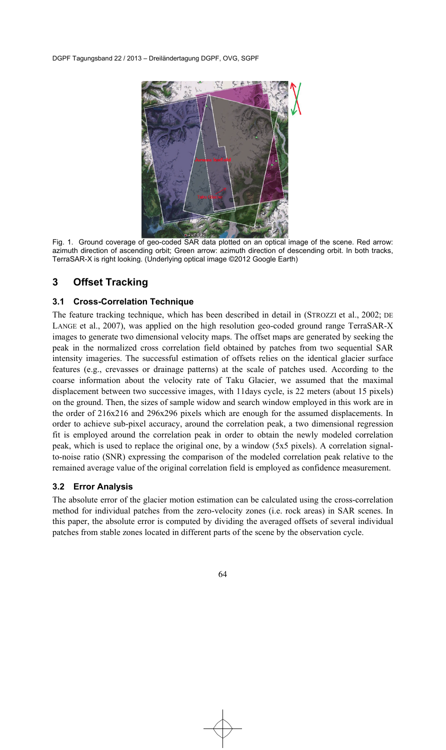

Fig. 1. Ground coverage of geo-coded SAR data plotted on an optical image of the scene. Red arrow: azimuth direction of ascending orbit; Green arrow: azimuth direction of descending orbit. In both tracks, TerraSAR-X is right looking. (Underlying optical image ©2012 Google Earth)

## **3 Offset Tracking**

### **3.1 Cross-Correlation Technique**

The feature tracking technique, which has been described in detail in (STROZZI et al., 2002; DE LANGE et al., 2007), was applied on the high resolution geo-coded ground range TerraSAR-X images to generate two dimensional velocity maps. The offset maps are generated by seeking the peak in the normalized cross correlation field obtained by patches from two sequential SAR intensity imageries. The successful estimation of offsets relies on the identical glacier surface features (e.g., crevasses or drainage patterns) at the scale of patches used. According to the coarse information about the velocity rate of Taku Glacier, we assumed that the maximal displacement between two successive images, with 11days cycle, is 22 meters (about 15 pixels) on the ground. Then, the sizes of sample widow and search window employed in this work are in the order of 216x216 and 296x296 pixels which are enough for the assumed displacements. In order to achieve sub-pixel accuracy, around the correlation peak, a two dimensional regression fit is employed around the correlation peak in order to obtain the newly modeled correlation peak, which is used to replace the original one, by a window (5x5 pixels). A correlation signalto-noise ratio (SNR) expressing the comparison of the modeled correlation peak relative to the remained average value of the original correlation field is employed as confidence measurement.

#### **3.2 Error Analysis**

The absolute error of the glacier motion estimation can be calculated using the cross-correlation method for individual patches from the zero-velocity zones (i.e. rock areas) in SAR scenes. In this paper, the absolute error is computed by dividing the averaged offsets of several individual patches from stable zones located in different parts of the scene by the observation cycle.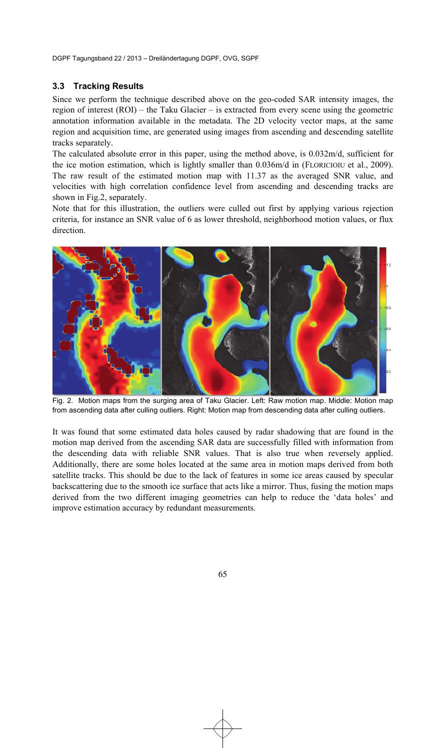#### **3.3 Tracking Results**

Since we perform the technique described above on the geo-coded SAR intensity images, the region of interest (ROI) – the Taku Glacier – is extracted from every scene using the geometric annotation information available in the metadata. The 2D velocity vector maps, at the same region and acquisition time, are generated using images from ascending and descending satellite tracks separately.

The calculated absolute error in this paper, using the method above, is 0.032m/d, sufficient for the ice motion estimation, which is lightly smaller than 0.036m/d in (FLORICIOIU et al., 2009). The raw result of the estimated motion map with 11.37 as the averaged SNR value, and velocities with high correlation confidence level from ascending and descending tracks are shown in Fig.2, separately.

Note that for this illustration, the outliers were culled out first by applying various rejection criteria, for instance an SNR value of 6 as lower threshold, neighborhood motion values, or flux direction.



Fig. 2. Motion maps from the surging area of Taku Glacier. Left: Raw motion map. Middle: Motion map from ascending data after culling outliers. Right: Motion map from descending data after culling outliers.

It was found that some estimated data holes caused by radar shadowing that are found in the motion map derived from the ascending SAR data are successfully filled with information from the descending data with reliable SNR values. That is also true when reversely applied. Additionally, there are some holes located at the same area in motion maps derived from both satellite tracks. This should be due to the lack of features in some ice areas caused by specular backscattering due to the smooth ice surface that acts like a mirror. Thus, fusing the motion maps derived from the two different imaging geometries can help to reduce the 'data holes' and improve estimation accuracy by redundant measurements.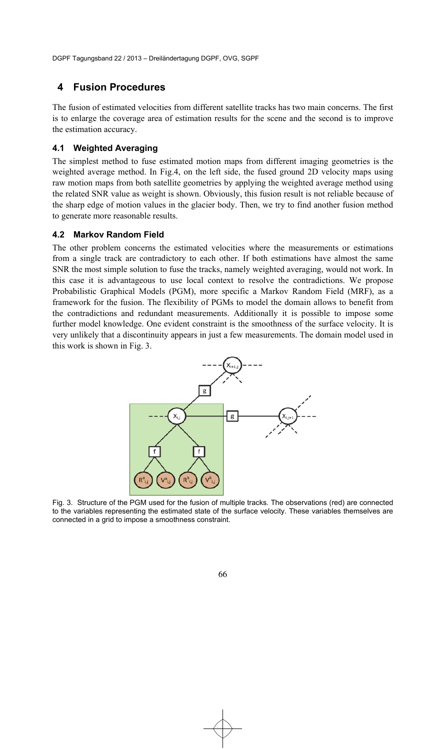### **4 Fusion Procedures**

The fusion of estimated velocities from different satellite tracks has two main concerns. The first is to enlarge the coverage area of estimation results for the scene and the second is to improve the estimation accuracy.

#### **4.1 Weighted Averaging**

The simplest method to fuse estimated motion maps from different imaging geometries is the weighted average method. In Fig.4, on the left side, the fused ground 2D velocity maps using raw motion maps from both satellite geometries by applying the weighted average method using the related SNR value as weight is shown. Obviously, this fusion result is not reliable because of the sharp edge of motion values in the glacier body. Then, we try to find another fusion method to generate more reasonable results.

#### **4.2 Markov Random Field**

The other problem concerns the estimated velocities where the measurements or estimations from a single track are contradictory to each other. If both estimations have almost the same SNR the most simple solution to fuse the tracks, namely weighted averaging, would not work. In this case it is advantageous to use local context to resolve the contradictions. We propose Probabilistic Graphical Models (PGM), more specific a Markov Random Field (MRF), as a framework for the fusion. The flexibility of PGMs to model the domain allows to benefit from the contradictions and redundant measurements. Additionally it is possible to impose some further model knowledge. One evident constraint is the smoothness of the surface velocity. It is very unlikely that a discontinuity appears in just a few measurements. The domain model used in this work is shown in Fig. 3.



Fig. 3. Structure of the PGM used for the fusion of multiple tracks. The observations (red) are connected to the variables representing the estimated state of the surface velocity. These variables themselves are connected in a grid to impose a smoothness constraint.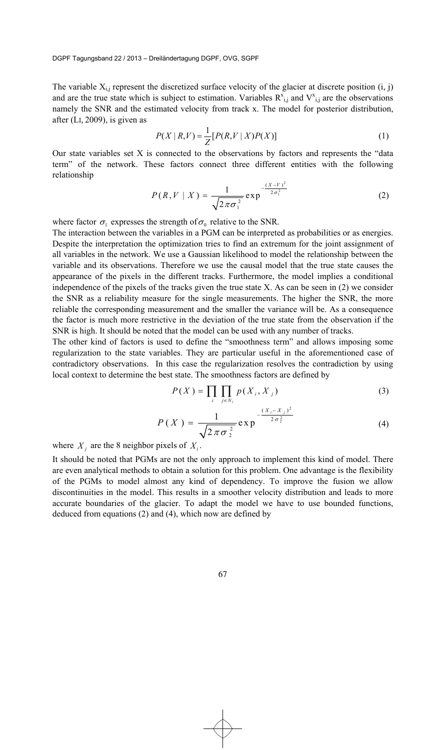The variable  $X_{i,j}$  represent the discretized surface velocity of the glacier at discrete position  $(i, j)$ and are the true state which is subject to estimation. Variables  $R_{i,j}^{x}$  and  $V_{i,j}^{x}$  are the observations namely the SNR and the estimated velocity from track x. The model for posterior distribution, after (LI, 2009), is given as

$$
P(X \mid R, V) = \frac{1}{Z} [P(R, V \mid X) P(X)] \tag{1}
$$

Our state variables set X is connected to the observations by factors and represents the "data term" of the network. These factors connect three different entities with the following relationship  $\frac{(X - V)^2}{2}$ 

$$
P(R, V \mid X) = \frac{1}{\sqrt{2\pi\sigma_1^2}} \exp^{-\frac{(X - V)^2}{2\sigma_1^2}}
$$
 (2)

where factor  $\sigma_1$  expresses the strength of  $\sigma_0$  relative to the SNR.

The interaction between the variables in a PGM can be interpreted as probabilities or as energies. Despite the interpretation the optimization tries to find an extremum for the joint assignment of all variables in the network. We use a Gaussian likelihood to model the relationship between the variable and its observations. Therefore we use the causal model that the true state causes the appearance of the pixels in the different tracks. Furthermore, the model implies a conditional independence of the pixels of the tracks given the true state X. As can be seen in (2) we consider the SNR as a reliability measure for the single measurements. The higher the SNR, the more reliable the corresponding measurement and the smaller the variance will be. As a consequence the factor is much more restrictive in the deviation of the true state from the observation if the SNR is high. It should be noted that the model can be used with any number of tracks.

The other kind of factors is used to define the "smoothness term" and allows imposing some regularization to the state variables. They are particular useful in the aforementioned case of contradictory observations. In this case the regularization resolves the contradiction by using local context to determine the best state. The smoothness factors are defined by

$$
P(X) = \prod_{i} \prod_{j \in N_i} p(X_i, X_j)
$$
 (3)

$$
P(X) = \frac{1}{\sqrt{2\pi\sigma_2^2}} \exp^{-\frac{(X_i - X_j)^2}{2\sigma_2^2}}
$$
 (4)

where  $X_i$  are the 8 neighbor pixels of  $X_i$ .

It should be noted that PGMs are not the only approach to implement this kind of model. There are even analytical methods to obtain a solution for this problem. One advantage is the flexibility of the PGMs to model almost any kind of dependency. To improve the fusion we allow discontinuities in the model. This results in a smoother velocity distribution and leads to more accurate boundaries of the glacier. To adapt the model we have to use bounded functions, deduced from equations (2) and (4), which now are defined by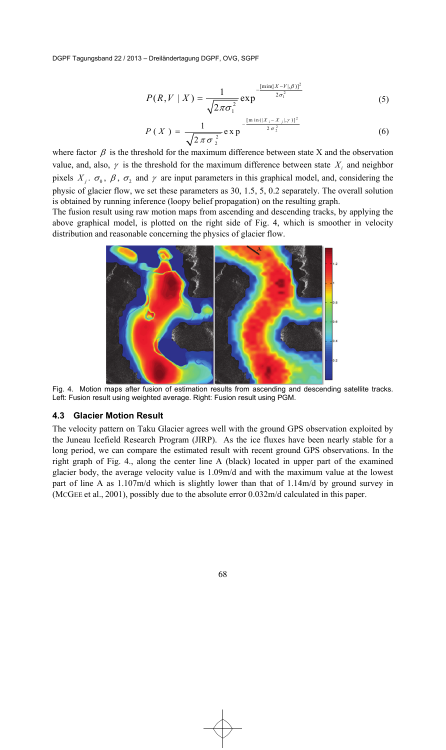$$
P(R, V \mid X) = \frac{1}{\sqrt{2\pi\sigma_1^2}} \exp^{-\frac{[\min(|X - V|, \beta)]^2}{2\sigma_1^2}}
$$
(5)

$$
P(X) = \frac{1}{\sqrt{2 \pi \sigma_2^2}} \exp \frac{-\frac{[\min(|X_i - X_j|, y)]^2}{2 \sigma_2^2}} \tag{6}
$$

where factor  $\beta$  is the threshold for the maximum difference between state X and the observation value, and, also,  $\gamma$  is the threshold for the maximum difference between state  $X_i$  and neighbor pixels  $X_i$ .  $\sigma_0$ ,  $\beta$ ,  $\sigma_2$  and  $\gamma$  are input parameters in this graphical model, and, considering the physic of glacier flow, we set these parameters as 30, 1.5, 5, 0.2 separately. The overall solution is obtained by running inference (loopy belief propagation) on the resulting graph.

The fusion result using raw motion maps from ascending and descending tracks, by applying the above graphical model, is plotted on the right side of Fig. 4, which is smoother in velocity distribution and reasonable concerning the physics of glacier flow.



Fig. 4. Motion maps after fusion of estimation results from ascending and descending satellite tracks. Left: Fusion result using weighted average. Right: Fusion result using PGM.

#### **4.3 Glacier Motion Result**

The velocity pattern on Taku Glacier agrees well with the ground GPS observation exploited by the Juneau Icefield Research Program (JIRP). As the ice fluxes have been nearly stable for a long period, we can compare the estimated result with recent ground GPS observations. In the right graph of Fig. 4., along the center line A (black) located in upper part of the examined glacier body, the average velocity value is 1.09m/d and with the maximum value at the lowest part of line A as 1.107m/d which is slightly lower than that of 1.14m/d by ground survey in (MCGEE et al., 2001), possibly due to the absolute error 0.032m/d calculated in this paper.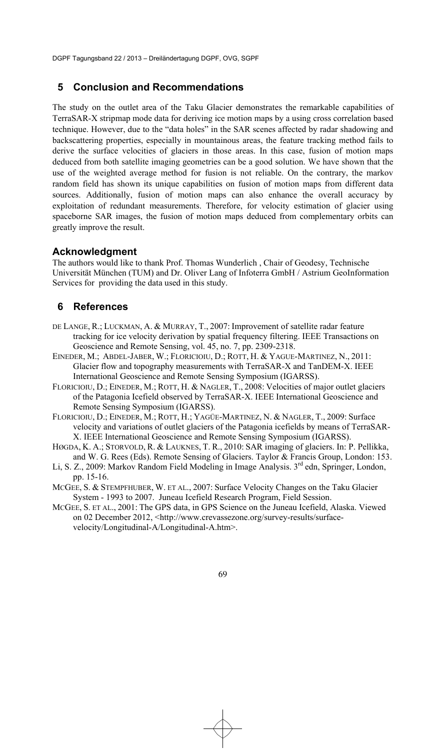### **5 Conclusion and Recommendations**

The study on the outlet area of the Taku Glacier demonstrates the remarkable capabilities of TerraSAR-X stripmap mode data for deriving ice motion maps by a using cross correlation based technique. However, due to the "data holes" in the SAR scenes affected by radar shadowing and backscattering properties, especially in mountainous areas, the feature tracking method fails to derive the surface velocities of glaciers in those areas. In this case, fusion of motion maps deduced from both satellite imaging geometries can be a good solution. We have shown that the use of the weighted average method for fusion is not reliable. On the contrary, the markov random field has shown its unique capabilities on fusion of motion maps from different data sources. Additionally, fusion of motion maps can also enhance the overall accuracy by exploitation of redundant measurements. Therefore, for velocity estimation of glacier using spaceborne SAR images, the fusion of motion maps deduced from complementary orbits can greatly improve the result.

### **Acknowledgment**

The authors would like to thank Prof. Thomas Wunderlich , Chair of Geodesy, Technische Universität München (TUM) and Dr. Oliver Lang of Infoterra GmbH / Astrium GeoInformation Services for providing the data used in this study.

## **6 References**

- DE LANGE, R.; LUCKMAN, A. & MURRAY, T., 2007: Improvement of satellite radar feature tracking for ice velocity derivation by spatial frequency filtering. IEEE Transactions on Geoscience and Remote Sensing, vol. 45, no. 7, pp. 2309-2318.
- EINEDER, M.; ABDEL-JABER, W.; FLORICIOIU, D.; ROTT, H. & YAGUE-MARTINEZ, N., 2011: Glacier flow and topography measurements with TerraSAR-X and TanDEM-X. IEEE International Geoscience and Remote Sensing Symposium (IGARSS).
- FLORICIOIU, D.; EINEDER, M.; ROTT, H. & NAGLER, T., 2008: Velocities of major outlet glaciers of the Patagonia Icefield observed by TerraSAR-X. IEEE International Geoscience and Remote Sensing Symposium (IGARSS).
- FLORICIOIU, D.; EINEDER, M.; ROTT, H.; YAGÜE-MARTINEZ, N. & NAGLER, T., 2009: Surface velocity and variations of outlet glaciers of the Patagonia icefields by means of TerraSAR-X. IEEE International Geoscience and Remote Sensing Symposium (IGARSS).
- HØGDA, K. A.; STORVOLD, R. & LAUKNES, T. R., 2010: SAR imaging of glaciers. In: P. Pellikka, and W. G. Rees (Eds). Remote Sensing of Glaciers. Taylor & Francis Group, London: 153.
- Li, S. Z., 2009: Markov Random Field Modeling in Image Analysis. 3<sup>rd</sup> edn, Springer, London, pp. 15-16.
- MCGEE, S. & STEMPFHUBER, W. ET AL., 2007: Surface Velocity Changes on the Taku Glacier System - 1993 to 2007. Juneau Icefield Research Program, Field Session.
- MCGEE, S. ET AL., 2001: The GPS data, in GPS Science on the Juneau Icefield, Alaska. Viewed on 02 December 2012, <http://www.crevassezone.org/survey-results/surfacevelocity/Longitudinal-A/Longitudinal-A.htm>.